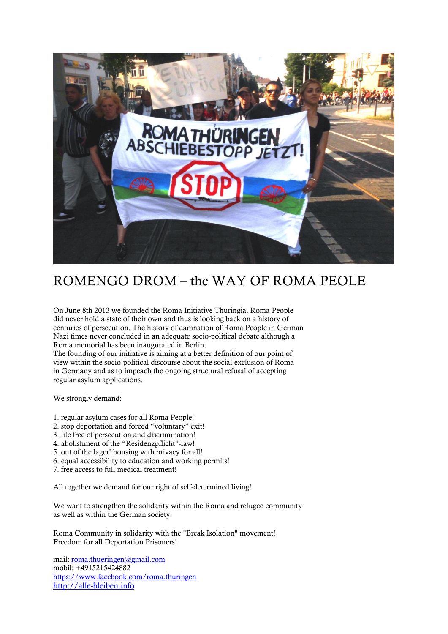

## ROMENGO DROM – the WAY OF ROMA PEOLE

On June 8th 2013 we founded the Roma Initiative Thuringia. Roma People did never hold a state of their own and thus is looking back on a history of centuries of persecution. The history of damnation of Roma People in German Nazi times never concluded in an adequate socio-political debate although a Roma memorial has been inaugurated in Berlin.

The founding of our initiative is aiming at a better definition of our point of view within the socio-political discourse about the social exclusion of Roma in Germany and as to impeach the ongoing structural refusal of accepting regular asylum applications.

We strongly demand:

- 1. regular asylum cases for all Roma People!
- 2. stop deportation and forced "voluntary" exit!
- 3. life free of persecution and discrimination!
- 4. abolishment of the "Residenzpflicht"-law!
- 5. out of the lager! housing with privacy for all!
- 6. equal accessibility to education and working permits!
- 7. free access to full medical treatment!

All together we demand for our right of self-determined living!

We want to strengthen the solidarity within the Roma and refugee community as well as within the German society.

Roma Community in solidarity with the "Break Isolation" movement! Freedom for all Deportation Prisoners!

mail: [roma.thueringen@gmail.com](mailto:roma.thueringen@gmail.com) mobil: +4915215424882 <https://www.facebook.com/roma.thuringen> [http://alle-bleiben.info](http://alle-bleiben.info/)